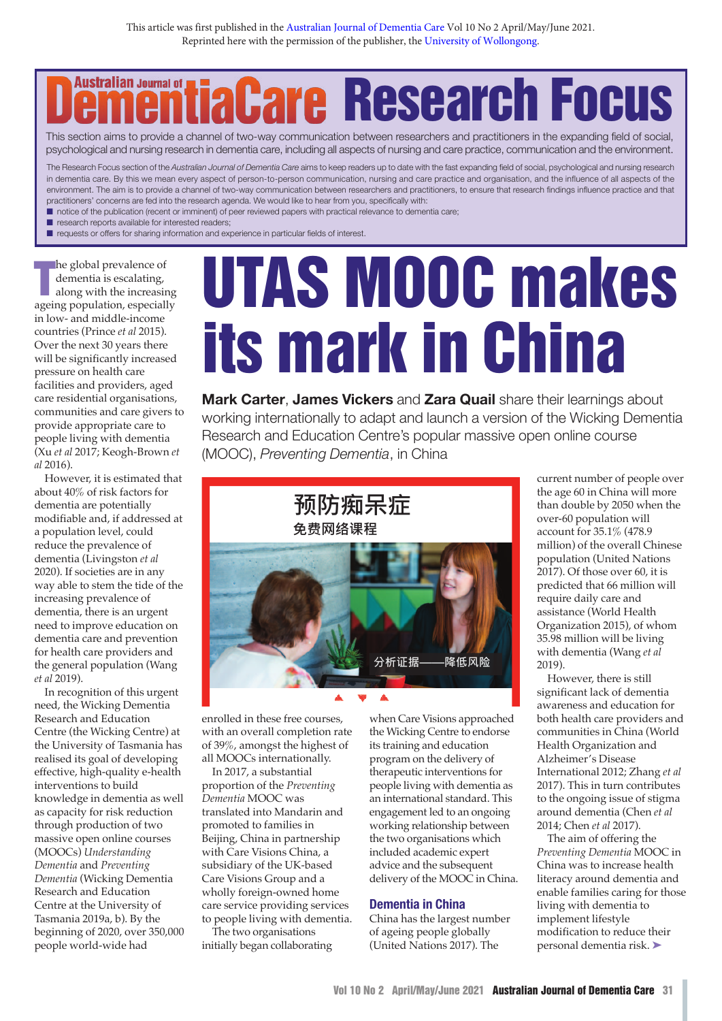# **Australian Journal of Research**

psychological and nursing research in dementia care, including all aspects of nursing and care practice, communication and the environment. This section aims to provide a channel of two-way communication between researchers and practitioners in the expanding field of social,

In defilering care. By this we filed freely aspect of person-depension communication, harality and care practice and organisation, and the imidence of air aspects of the ample of two-way communication between researchers a The Research Focus section of the *Australian Journal of Dementia Care* aims to keep readers up to date with the fast expanding field of social, psychological and nursing research in dementia care. By this we mean every aspect of person-to-person communication, nursing and care practice and organisation, and the influence of all aspects of the practitioners' concerns are fed into the research agenda. We would like to hear from you, specifically with:

notice of the publication (recent or imminent) of peer reviewed papers with practical relevance to dementia care;

- $\blacksquare$  research reports available for interested readers;
- **n** requests or offers for sharing information and experience in particular fields of interest.

**The global prevalence of dementia is escalating, along with the increasing ageing population, especially** he global prevalence of dementia is escalating, along with the increasing in low- and middle-income countries (Prince *et al* 2015). Over the next 30 years there will be significantly increased pressure on health care facilities and providers, aged care residential organisations, communities and care givers to provide appropriate care to people living with dementia (Xu *et al* 2017; Keogh-Brown *et al* 2016).

However, it is estimated that about 40% of risk factors for dementia are potentially modifiable and, if addressed at a population level, could reduce the prevalence of dementia (Livingston *et al* 2020). If societies are in any way able to stem the tide of the increasing prevalence of dementia, there is an urgent need to improve education on dementia care and prevention for health care providers and the general population (Wang *et al* 2019).

In recognition of this urgent need, the Wicking Dementia Research and Education Centre (the Wicking Centre) at the University of Tasmania has realised its goal of developing effective, high-quality e-health interventions to build knowledge in dementia as well as capacity for risk reduction through production of two massive open online courses (MOOCs) *Understanding Dementia* and *Preventing Dementia* (Wicking Dementia Research and Education Centre at the University of Tasmania 2019a, b). By the beginning of 2020, over 350,000 people world-wide had

# **UTAS MOOC makes its mark in China**

**Mark Carter**, **James Vickers** and **Zara Quail** share their learnings about working internationally to adapt and launch a version of the Wicking Dementia Research and Education Centre's popular massive open online course (MOOC), *Preventing Dementia*, in China



enrolled in these free courses, with an overall completion rate of 39%, amongst the highest of all MOOCs internationally. mese nee courses, when care

In 2017, a substantial proportion of the *Preventing* People living with *Dementia* MOOC was translated into Mandarin and promoted to families in promoted to families in the working relationship.<br>Beijing, China in partnership the two organis with Care Visions China, a subsidiary of the UK-based Care Visions Group and a wholly foreign-owned home care service providing services to people living with dementia.

The two organisations initially began collaborating

these free courses, when Care Visions approached the Wicking Centre to endorse ongst the highest of its training and education internationally. program on the delivery of therapeutic interventions for people living with dementia as an international standard. This 康、降低痴呆症风险感兴趣,还是从事相关医疗行业 into Mandarin and engagement led to an ongoing working relationship between the two organisations which included academic expert advice and the subsequent delivery of the MOOC in China.

#### **Dementia in China**

China has the largest number of ageing people globally (United Nations 2017). The

current number of people over the age 60 in China will more than double by 2050 when the over-60 population will account for 35.1% (478.9 million) of the overall Chinese population (United Nations 2017). Of those over 60, it is predicted that 66 million will require daily care and assistance (World Health Organization 2015), of whom 35.98 million will be living with dementia (Wang *et al* 2019).

However, there is still significant lack of dementia awareness and education for both health care providers and communities in China (World Health Organization and Alzheimer's Disease International 2012; Zhang *et al* 2017). This in turn contributes to the ongoing issue of stigma around dementia (Chen *et al* 2014; Chen *et al* 2017).

The aim of offering the *Preventing Dementia* MOOC in China was to increase health literacy around dementia and enable families caring for those living with dementia to implement lifestyle modification to reduce their personal dementia risk. ➤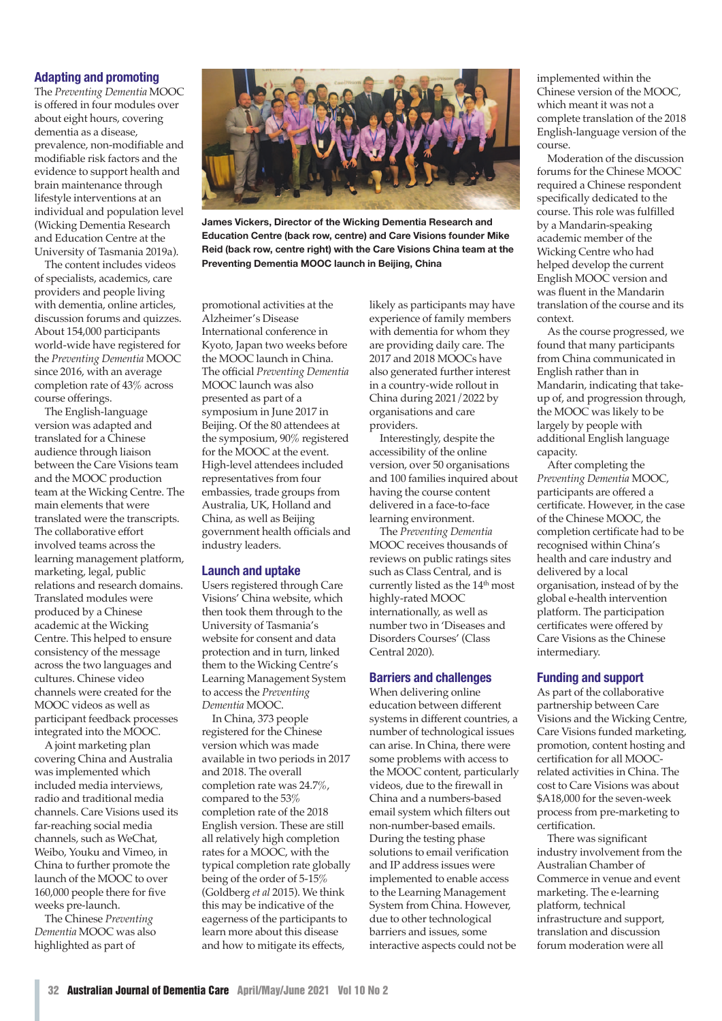## **Adapting and promoting**

The *Preventing Dementia* MOOC is offered in four modules over about eight hours, covering dementia as a disease, prevalence, non-modifiable and modifiable risk factors and the evidence to support health and brain maintenance through lifestyle interventions at an individual and population level (Wicking Dementia Research and Education Centre at the University of Tasmania 2019a).

The content includes videos of specialists, academics, care providers and people living with dementia, online articles, discussion forums and quizzes. About 154,000 participants world-wide have registered for the *Preventing Dementia* MOOC since 2016, with an average completion rate of 43% across course offerings.

The English-language version was adapted and translated for a Chinese audience through liaison between the Care Visions team and the MOOC production team at the Wicking Centre. The main elements that were translated were the transcripts. The collaborative effort involved teams across the learning management platform, marketing, legal, public relations and research domains. Translated modules were produced by a Chinese academic at the Wicking Centre. This helped to ensure consistency of the message across the two languages and cultures. Chinese video channels were created for the MOOC videos as well as participant feedback processes integrated into the MOOC.

A joint marketing plan covering China and Australia was implemented which included media interviews, radio and traditional media channels. Care Visions used its far-reaching social media channels, such as WeChat, Weibo, Youku and Vimeo, in China to further promote the launch of the MOOC to over 160,000 people there for five weeks pre-launch.

The Chinese *Preventing Dementia* MOOC was also highlighted as part of



**James Vickers, Director of the Wicking Dementia Research and Education Centre (back row, centre) and Care Visions founder Mike Reid (back row, centre right) with the Care Visions China team at the Preventing Dementia MOOC launch in Beijing, China**

promotional activities at the Alzheimer's Disease International conference in Kyoto, Japan two weeks before the MOOC launch in China. The official *Preventing Dementia* MOOC launch was also presented as part of a symposium in June 2017 in Beijing. Of the 80 attendees at the symposium, 90% registered for the MOOC at the event. High-level attendees included representatives from four embassies, trade groups from Australia, UK, Holland and China, as well as Beijing government health officials and industry leaders.

### **Launch and uptake**

Users registered through Care Visions' China website, which then took them through to the University of Tasmania's website for consent and data protection and in turn, linked them to the Wicking Centre's Learning Management System to access the *Preventing Dementia* MOOC.

In China, 373 people registered for the Chinese version which was made available in two periods in 2017 and 2018. The overall completion rate was 24.7%, compared to the 53% completion rate of the 2018 English version. These are still all relatively high completion rates for a MOOC, with the typical completion rate globally being of the order of 5-15% (Goldberg *et al* 2015). We think this may be indicative of the eagerness of the participants to learn more about this disease and how to mitigate its effects,

likely as participants may have experience of family members with dementia for whom they are providing daily care. The 2017 and 2018 MOOCs have also generated further interest in a country-wide rollout in China during 2021/2022 by organisations and care providers.

Interestingly, despite the accessibility of the online version, over 50 organisations and 100 families inquired about having the course content delivered in a face-to-face learning environment.

The *Preventing Dementia* MOOC receives thousands of reviews on public ratings sites such as Class Central, and is currently listed as the 14<sup>th</sup> most highly-rated MOOC internationally, as well as number two in 'Diseases and Disorders Courses' (Class Central 2020).

# **Barriers and challenges**

When delivering online education between different systems in different countries, a number of technological issues can arise. In China, there were some problems with access to the MOOC content, particularly videos, due to the firewall in China and a numbers-based email system which filters out non-number-based emails. During the testing phase solutions to email verification and IP address issues were implemented to enable access to the Learning Management System from China. However, due to other technological barriers and issues, some interactive aspects could not be

implemented within the Chinese version of the MOOC, which meant it was not a complete translation of the 2018 English-language version of the course.

Moderation of the discussion forums for the Chinese MOOC required a Chinese respondent specifically dedicated to the course. This role was fulfilled by a Mandarin-speaking academic member of the Wicking Centre who had helped develop the current English MOOC version and was fluent in the Mandarin translation of the course and its context.

As the course progressed, we found that many participants from China communicated in English rather than in Mandarin, indicating that takeup of, and progression through, the MOOC was likely to be largely by people with additional English language capacity.

After completing the *Preventing Dementia* MOOC, participants are offered a certificate. However, in the case of the Chinese MOOC, the completion certificate had to be recognised within China's health and care industry and delivered by a local organisation, instead of by the global e-health intervention platform. The participation certificates were offered by Care Visions as the Chinese intermediary.

### **Funding and support**

As part of the collaborative partnership between Care Visions and the Wicking Centre, Care Visions funded marketing, promotion, content hosting and certification for all MOOCrelated activities in China. The cost to Care Visions was about \$A18,000 for the seven-week process from pre-marketing to certification.

There was significant industry involvement from the Australian Chamber of Commerce in venue and event marketing. The e-learning platform, technical infrastructure and support, translation and discussion forum moderation were all